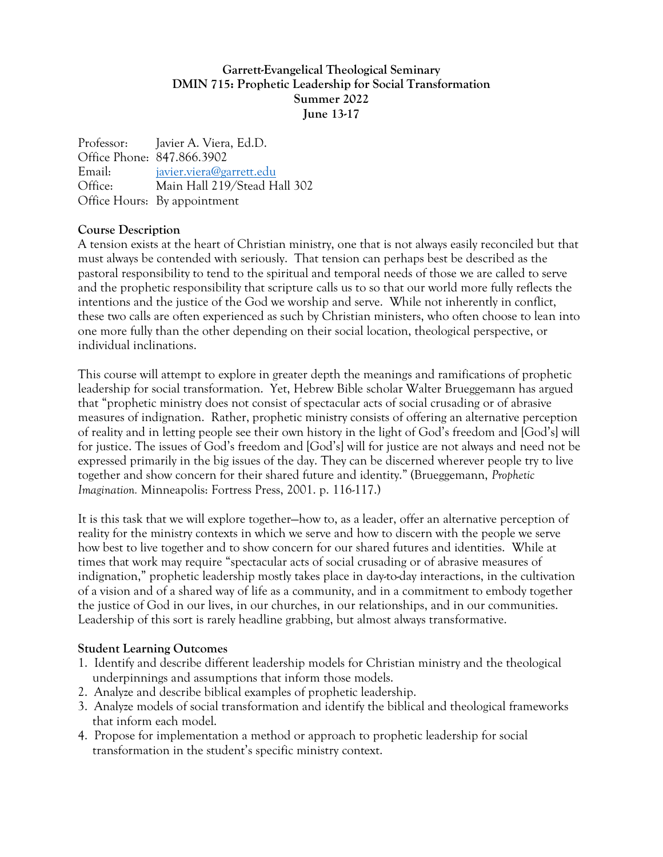## **Garrett-Evangelical Theological Seminary DMIN 715: Prophetic Leadership for Social Transformation Summer 2022 June 13-17**

Professor: Javier A. Viera, Ed.D. Office Phone: 847.866.3902 Email: [javier.viera@garrett.edu](mailto:javier.viera@garrett.edu) Office: Main Hall 219/Stead Hall 302 Office Hours: By appointment

#### **Course Description**

A tension exists at the heart of Christian ministry, one that is not always easily reconciled but that must always be contended with seriously. That tension can perhaps best be described as the pastoral responsibility to tend to the spiritual and temporal needs of those we are called to serve and the prophetic responsibility that scripture calls us to so that our world more fully reflects the intentions and the justice of the God we worship and serve. While not inherently in conflict, these two calls are often experienced as such by Christian ministers, who often choose to lean into one more fully than the other depending on their social location, theological perspective, or individual inclinations.

This course will attempt to explore in greater depth the meanings and ramifications of prophetic leadership for social transformation. Yet, Hebrew Bible scholar Walter Brueggemann has argued that "prophetic ministry does not consist of spectacular acts of social crusading or of abrasive measures of indignation. Rather, prophetic ministry consists of offering an alternative perception of reality and in letting people see their own history in the light of God's freedom and [God's] will for justice. The issues of God's freedom and [God's] will for justice are not always and need not be expressed primarily in the big issues of the day. They can be discerned wherever people try to live together and show concern for their shared future and identity." (Brueggemann, *Prophetic Imagination.* Minneapolis: Fortress Press, 2001. p. 116-117.)

It is this task that we will explore together—how to, as a leader, offer an alternative perception of reality for the ministry contexts in which we serve and how to discern with the people we serve how best to live together and to show concern for our shared futures and identities. While at times that work may require "spectacular acts of social crusading or of abrasive measures of indignation," prophetic leadership mostly takes place in day-to-day interactions, in the cultivation of a vision and of a shared way of life as a community, and in a commitment to embody together the justice of God in our lives, in our churches, in our relationships, and in our communities. Leadership of this sort is rarely headline grabbing, but almost always transformative.

# **Student Learning Outcomes**

- 1. Identify and describe different leadership models for Christian ministry and the theological underpinnings and assumptions that inform those models.
- 2. Analyze and describe biblical examples of prophetic leadership.
- 3. Analyze models of social transformation and identify the biblical and theological frameworks that inform each model.
- 4. Propose for implementation a method or approach to prophetic leadership for social transformation in the student's specific ministry context.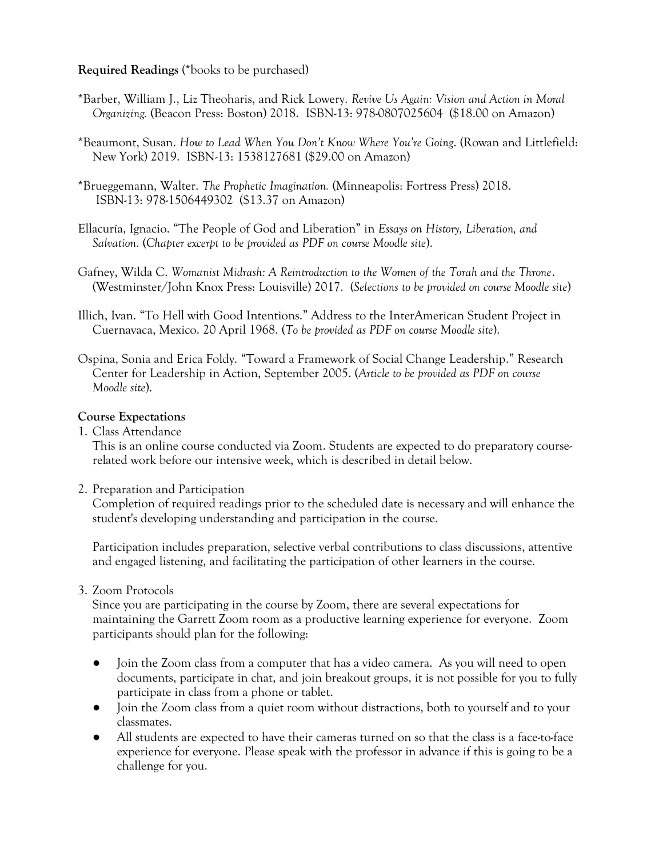## **Required Readings** (\*books to be purchased)

- \*Barber, William J., Liz Theoharis, and Rick Lowery. *Revive Us Again: Vision and Action in Moral Organizing.* (Beacon Press: Boston) 2018. ISBN-13: 978-0807025604 (\$18.00 on Amazon)
- \*Beaumont, Susan. *How to Lead When You Don't Know Where You're Going*. (Rowan and Littlefield: New York) 2019. ISBN-13: 1538127681 (\$29.00 on Amazon)
- \*Brueggemann, Walter. *The Prophetic Imagination.* (Minneapolis: Fortress Press) 2018. ISBN-13: 978-1506449302 (\$13.37 on Amazon)
- Ellacuría, Ignacio. "The People of God and Liberation" in *Essays on History, Liberation, and Salvation.* (*Chapter excerpt to be provided as PDF on course Moodle site*).
- Gafney, Wilda C. *Womanist Midrash: A Reintroduction to the Women of the Torah and the Throne*. (Westminster/John Knox Press: Louisville) 2017. (*Selections to be provided on course Moodle site*)
- Illich, Ivan. "To Hell with Good Intentions." Address to the InterAmerican Student Project in Cuernavaca, Mexico. 20 April 1968. (*To be provided as PDF on course Moodle site*).

Ospina, Sonia and Erica Foldy. "Toward a Framework of Social Change Leadership." Research Center for Leadership in Action, September 2005. (*Article to be provided as PDF on course Moodle site*).

## **Course Expectations**

1. Class Attendance

This is an online course conducted via Zoom. Students are expected to do preparatory courserelated work before our intensive week, which is described in detail below.

2. Preparation and Participation

Completion of required readings prior to the scheduled date is necessary and will enhance the student's developing understanding and participation in the course.

Participation includes preparation, selective verbal contributions to class discussions, attentive and engaged listening, and facilitating the participation of other learners in the course.

# 3. Zoom Protocols

Since you are participating in the course by Zoom, there are several expectations for maintaining the Garrett Zoom room as a productive learning experience for everyone. Zoom participants should plan for the following:

- Join the Zoom class from a computer that has a video camera. As you will need to open documents, participate in chat, and join breakout groups, it is not possible for you to fully participate in class from a phone or tablet.
- Join the Zoom class from a quiet room without distractions, both to yourself and to your classmates.
- All students are expected to have their cameras turned on so that the class is a face-to-face experience for everyone. Please speak with the professor in advance if this is going to be a challenge for you.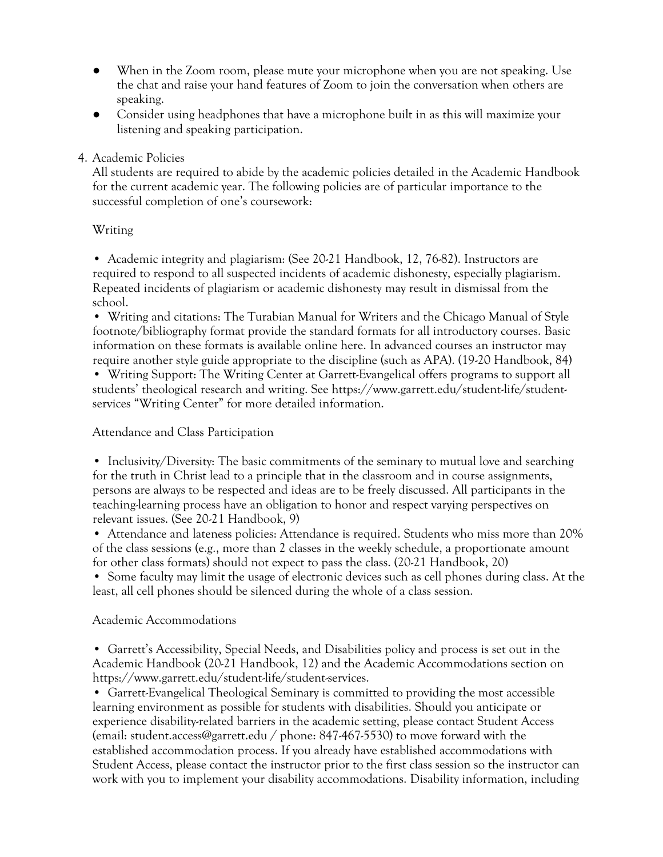- When in the Zoom room, please mute your microphone when you are not speaking. Use the chat and raise your hand features of Zoom to join the conversation when others are speaking.
- Consider using headphones that have a microphone built in as this will maximize your listening and speaking participation.

## 4. Academic Policies

All students are required to abide by the academic policies detailed in the Academic Handbook for the current academic year. The following policies are of particular importance to the successful completion of one's coursework:

## Writing

• Academic integrity and plagiarism: (See 20-21 Handbook, 12, 76-82). Instructors are required to respond to all suspected incidents of academic dishonesty, especially plagiarism. Repeated incidents of plagiarism or academic dishonesty may result in dismissal from the school.

• Writing and citations: The Turabian Manual for Writers and the Chicago Manual of Style footnote/bibliography format provide the standard formats for all introductory courses. Basic information on these formats is available online here. In advanced courses an instructor may require another style guide appropriate to the discipline (such as APA). (19-20 Handbook, 84)

• Writing Support: The Writing Center at Garrett-Evangelical offers programs to support all students' theological research and writing. See https://www.garrett.edu/student-life/studentservices "Writing Center" for more detailed information.

## Attendance and Class Participation

• Inclusivity/Diversity: The basic commitments of the seminary to mutual love and searching for the truth in Christ lead to a principle that in the classroom and in course assignments, persons are always to be respected and ideas are to be freely discussed. All participants in the teaching-learning process have an obligation to honor and respect varying perspectives on relevant issues. (See 20-21 Handbook, 9)

• Attendance and lateness policies: Attendance is required. Students who miss more than 20% of the class sessions (e.g., more than 2 classes in the weekly schedule, a proportionate amount for other class formats) should not expect to pass the class. (20-21 Handbook, 20)

• Some faculty may limit the usage of electronic devices such as cell phones during class. At the least, all cell phones should be silenced during the whole of a class session.

# Academic Accommodations

• Garrett's Accessibility, Special Needs, and Disabilities policy and process is set out in the Academic Handbook (20-21 Handbook, 12) and the Academic Accommodations section on https://www.garrett.edu/student-life/student-services.

• Garrett-Evangelical Theological Seminary is committed to providing the most accessible learning environment as possible for students with disabilities. Should you anticipate or experience disability-related barriers in the academic setting, please contact Student Access (email: student.access@garrett.edu / phone: 847-467-5530) to move forward with the established accommodation process. If you already have established accommodations with Student Access, please contact the instructor prior to the first class session so the instructor can work with you to implement your disability accommodations. Disability information, including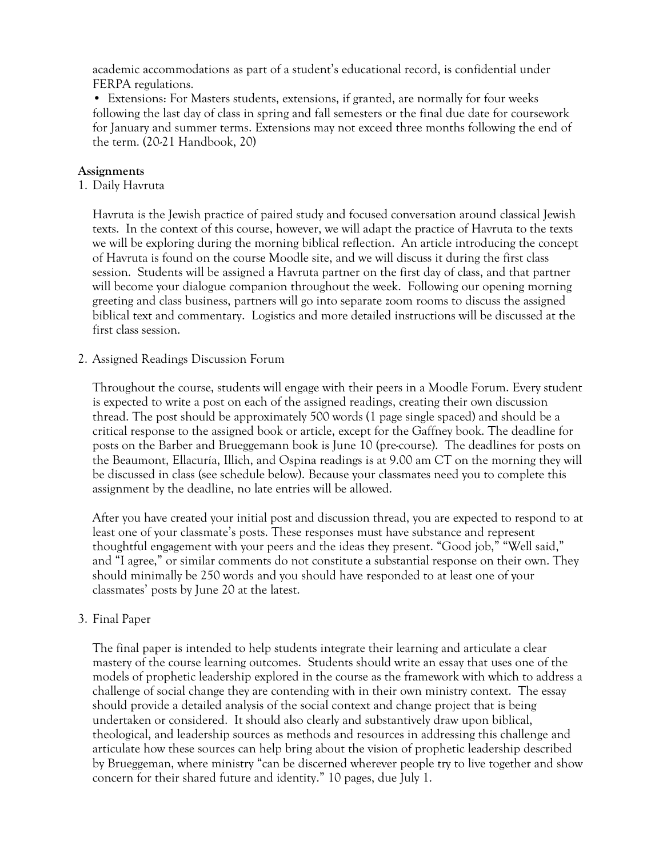academic accommodations as part of a student's educational record, is confidential under FERPA regulations.

• Extensions: For Masters students, extensions, if granted, are normally for four weeks following the last day of class in spring and fall semesters or the final due date for coursework for January and summer terms. Extensions may not exceed three months following the end of the term. (20-21 Handbook, 20)

#### **Assignments**

1. Daily Havruta

Havruta is the Jewish practice of paired study and focused conversation around classical Jewish texts. In the context of this course, however, we will adapt the practice of Havruta to the texts we will be exploring during the morning biblical reflection. An article introducing the concept of Havruta is found on the course Moodle site, and we will discuss it during the first class session. Students will be assigned a Havruta partner on the first day of class, and that partner will become your dialogue companion throughout the week. Following our opening morning greeting and class business, partners will go into separate zoom rooms to discuss the assigned biblical text and commentary. Logistics and more detailed instructions will be discussed at the first class session.

#### 2. Assigned Readings Discussion Forum

Throughout the course, students will engage with their peers in a Moodle Forum. Every student is expected to write a post on each of the assigned readings, creating their own discussion thread. The post should be approximately 500 words (1 page single spaced) and should be a critical response to the assigned book or article, except for the Gaffney book. The deadline for posts on the Barber and Brueggemann book is June 10 (pre-course). The deadlines for posts on the Beaumont, Ellacuría, Illich, and Ospina readings is at 9.00 am CT on the morning they will be discussed in class (see schedule below). Because your classmates need you to complete this assignment by the deadline, no late entries will be allowed.

After you have created your initial post and discussion thread, you are expected to respond to at least one of your classmate's posts. These responses must have substance and represent thoughtful engagement with your peers and the ideas they present. "Good job," "Well said," and "I agree," or similar comments do not constitute a substantial response on their own. They should minimally be 250 words and you should have responded to at least one of your classmates' posts by June 20 at the latest.

#### 3. Final Paper

The final paper is intended to help students integrate their learning and articulate a clear mastery of the course learning outcomes. Students should write an essay that uses one of the models of prophetic leadership explored in the course as the framework with which to address a challenge of social change they are contending with in their own ministry context. The essay should provide a detailed analysis of the social context and change project that is being undertaken or considered. It should also clearly and substantively draw upon biblical, theological, and leadership sources as methods and resources in addressing this challenge and articulate how these sources can help bring about the vision of prophetic leadership described by Brueggeman, where ministry "can be discerned wherever people try to live together and show concern for their shared future and identity." 10 pages, due July 1.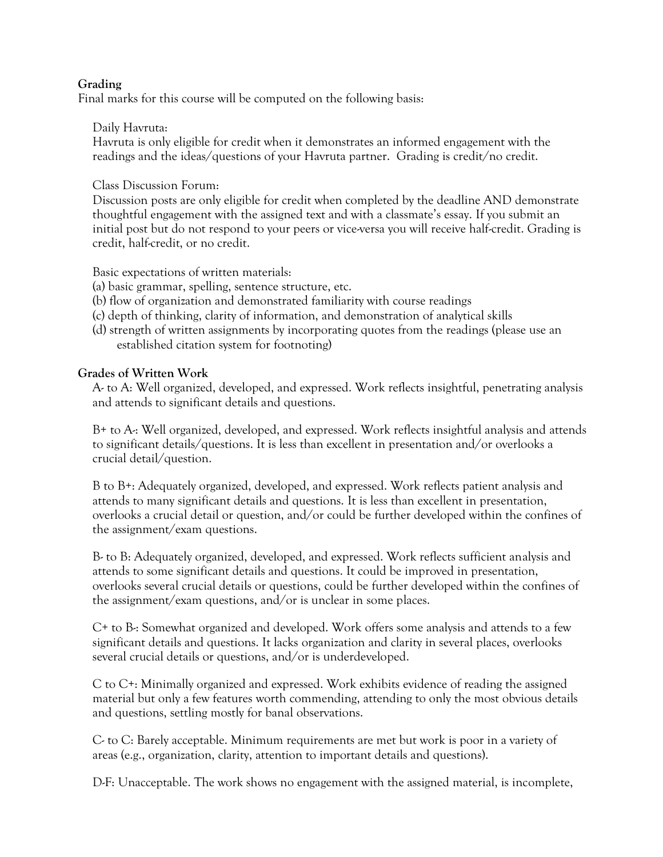## **Grading**

Final marks for this course will be computed on the following basis:

## Daily Havruta:

Havruta is only eligible for credit when it demonstrates an informed engagement with the readings and the ideas/questions of your Havruta partner. Grading is credit/no credit.

Class Discussion Forum:

Discussion posts are only eligible for credit when completed by the deadline AND demonstrate thoughtful engagement with the assigned text and with a classmate's essay. If you submit an initial post but do not respond to your peers or vice-versa you will receive half-credit. Grading is credit, half-credit, or no credit.

Basic expectations of written materials:

- (a) basic grammar, spelling, sentence structure, etc.
- (b) flow of organization and demonstrated familiarity with course readings
- (c) depth of thinking, clarity of information, and demonstration of analytical skills
- (d) strength of written assignments by incorporating quotes from the readings (please use an established citation system for footnoting)

## **Grades of Written Work**

A- to A: Well organized, developed, and expressed. Work reflects insightful, penetrating analysis and attends to significant details and questions.

B+ to A-: Well organized, developed, and expressed. Work reflects insightful analysis and attends to significant details/questions. It is less than excellent in presentation and/or overlooks a crucial detail/question.

B to B+: Adequately organized, developed, and expressed. Work reflects patient analysis and attends to many significant details and questions. It is less than excellent in presentation, overlooks a crucial detail or question, and/or could be further developed within the confines of the assignment/exam questions.

B- to B: Adequately organized, developed, and expressed. Work reflects sufficient analysis and attends to some significant details and questions. It could be improved in presentation, overlooks several crucial details or questions, could be further developed within the confines of the assignment/exam questions, and/or is unclear in some places.

C+ to B-: Somewhat organized and developed. Work offers some analysis and attends to a few significant details and questions. It lacks organization and clarity in several places, overlooks several crucial details or questions, and/or is underdeveloped.

C to C+: Minimally organized and expressed. Work exhibits evidence of reading the assigned material but only a few features worth commending, attending to only the most obvious details and questions, settling mostly for banal observations.

C- to C: Barely acceptable. Minimum requirements are met but work is poor in a variety of areas (e.g., organization, clarity, attention to important details and questions).

D-F: Unacceptable. The work shows no engagement with the assigned material, is incomplete,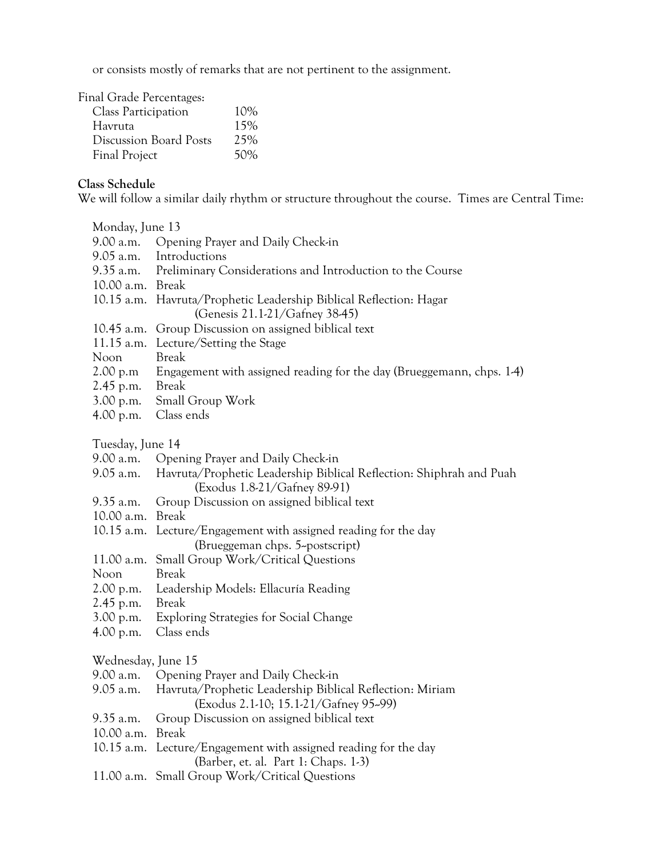or consists mostly of remarks that are not pertinent to the assignment.

Final Grade Percentages:

| <b>Class Participation</b>    | 10% |
|-------------------------------|-----|
| Havruta                       | 15% |
| <b>Discussion Board Posts</b> | 25% |
| <b>Final Project</b>          | 50% |

# **Class Schedule**

We will follow a similar daily rhythm or structure throughout the course. Times are Central Time:

| Monday, June 13    |                                                                                                         |  |
|--------------------|---------------------------------------------------------------------------------------------------------|--|
| 9.00 a.m.          | Opening Prayer and Daily Check-in                                                                       |  |
| 9.05 a.m.          | Introductions                                                                                           |  |
| 9.35 a.m.          | Preliminary Considerations and Introduction to the Course                                               |  |
| 10.00 a.m.         | <b>Break</b>                                                                                            |  |
| $10.15$ a.m.       | Havruta/Prophetic Leadership Biblical Reflection: Hagar                                                 |  |
|                    | (Genesis 21.1-21/Gafney 38-45)                                                                          |  |
| 10.45 a.m.         | Group Discussion on assigned biblical text                                                              |  |
| $11.15$ a.m.       | Lecture/Setting the Stage                                                                               |  |
| Noon               | <b>Break</b>                                                                                            |  |
| 2.00 p.m           | Engagement with assigned reading for the day (Brueggemann, chps. 1-4)                                   |  |
| $2.45$ p.m.        | <b>Break</b>                                                                                            |  |
| 3.00 p.m.          | Small Group Work                                                                                        |  |
| 4.00 p.m.          | Class ends                                                                                              |  |
|                    |                                                                                                         |  |
| Tuesday, June 14   |                                                                                                         |  |
| 9.00 a.m.          | Opening Prayer and Daily Check-in                                                                       |  |
| 9.05 a.m.          | Havruta/Prophetic Leadership Biblical Reflection: Shiphrah and Puah<br>(Exodus 1.8-21/Gafney 89-91)     |  |
| $9.35$ a.m.        | Group Discussion on assigned biblical text                                                              |  |
| 10.00 a.m.         | <b>Break</b>                                                                                            |  |
| $10.15$ a.m.       | Lecture/Engagement with assigned reading for the day                                                    |  |
|                    | (Brueggeman chps. 5~postscript)                                                                         |  |
| 11.00 a.m.         | Small Group Work/Critical Questions                                                                     |  |
| Noon               | <b>Break</b>                                                                                            |  |
| 2.00 p.m.          | Leadership Models: Ellacuría Reading                                                                    |  |
| 2.45 p.m.          | <b>Break</b>                                                                                            |  |
| 3.00 p.m.          | <b>Exploring Strategies for Social Change</b>                                                           |  |
| 4.00 p.m.          | Class ends                                                                                              |  |
|                    |                                                                                                         |  |
| Wednesday, June 15 |                                                                                                         |  |
| 9.00 a.m.          | Opening Prayer and Daily Check-in                                                                       |  |
| 9.05 a.m.          | Havruta/Prophetic Leadership Biblical Reflection: Miriam<br>(Exodus 2.1-10; 15.1-21/Gafney 95-99)       |  |
| 9.35 a.m.          | Group Discussion on assigned biblical text                                                              |  |
| 10.00 a.m.         | <b>Break</b>                                                                                            |  |
|                    | 10.15 a.m. Lecture/Engagement with assigned reading for the day<br>(Barber, et. al. Part 1: Chaps. 1-3) |  |
|                    | 11.00 a.m. Small Group Work/Critical Questions                                                          |  |
|                    |                                                                                                         |  |